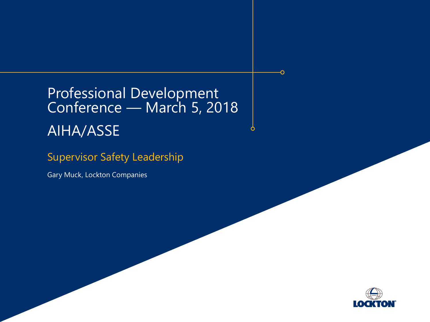# Professional Development Conference — March 5, 2018 AIHA/ASSE

Õ

#### Supervisor Safety Leadership

Gary Muck, Lockton Companies

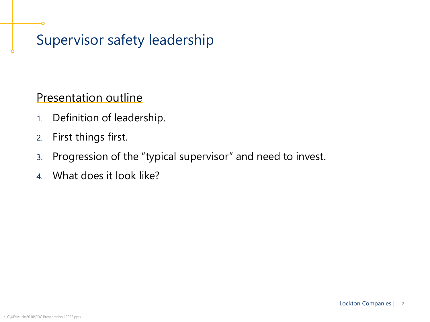## Supervisor safety leadership

#### Presentation outline

- 1. Definition of leadership.
- 2. First things first.
- 3. Progression of the "typical supervisor" and need to invest.
- 4. What does it look like?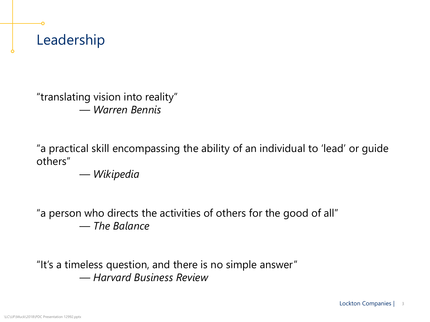"translating vision into reality" — *Warren Bennis*

"a practical skill encompassing the ability of an individual to 'lead' or guide others"

— *Wikipedia*

"a person who directs the activities of others for the good of all" — *The Balance*

"It's a timeless question, and there is no simple answer" *— Harvard Business Review*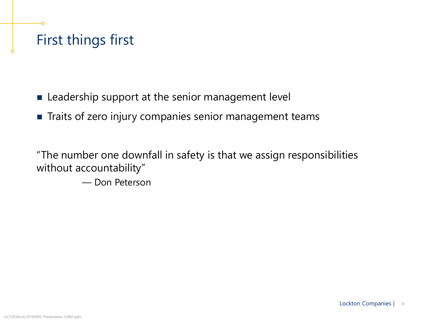## First things first

- **EXTERGHTM** Leadership support at the senior management level
- **Traits of zero injury companies senior management teams**

"The number one downfall in safety is that we assign responsibilities without accountability"

— Don Peterson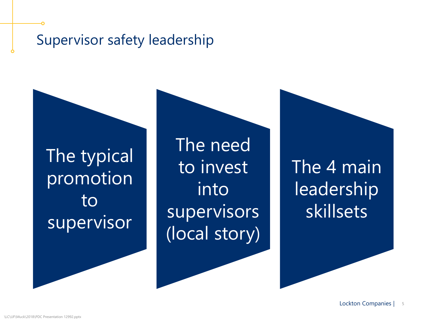#### Supervisor safety leadership

The typical promotion to supervisor

The need to invest into supervisors (local story)

The 4 main leadership skillsets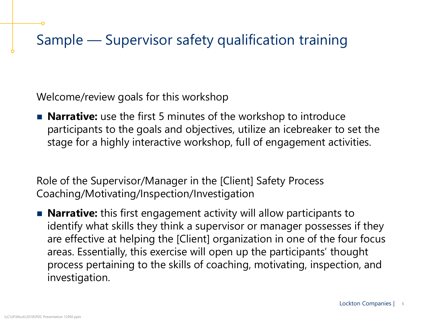Welcome/review goals for this workshop

**Narrative:** use the first 5 minutes of the workshop to introduce participants to the goals and objectives, utilize an icebreaker to set the stage for a highly interactive workshop, full of engagement activities.

Role of the Supervisor/Manager in the [Client] Safety Process Coaching/Motivating/Inspection/Investigation

**Narrative:** this first engagement activity will allow participants to identify what skills they think a supervisor or manager possesses if they are effective at helping the [Client] organization in one of the four focus areas. Essentially, this exercise will open up the participants' thought process pertaining to the skills of coaching, motivating, inspection, and investigation.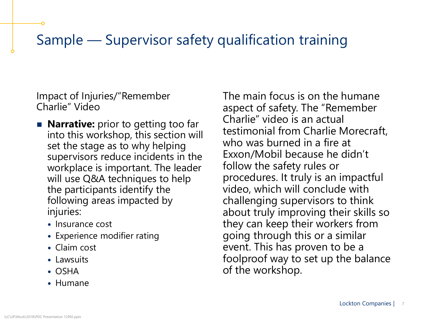Impact of Injuries/"Remember Charlie" Video

- **Narrative:** prior to getting too far into this workshop, this section will set the stage as to why helping supervisors reduce incidents in the workplace is important. The leader will use Q&A techniques to help the participants identify the following areas impacted by injuries:
	- Insurance cost
	- Experience modifier rating
	- Claim cost
	- Lawsuits
	- $\bullet$  OSHA
	- Humane

The main focus is on the humane aspect of safety. The "Remember Charlie" video is an actual testimonial from Charlie Morecraft, who was burned in a fire at Exxon/Mobil because he didn't follow the safety rules or procedures. It truly is an impactful video, which will conclude with challenging supervisors to think about truly improving their skills so they can keep their workers from going through this or a similar event. This has proven to be a foolproof way to set up the balance of the workshop.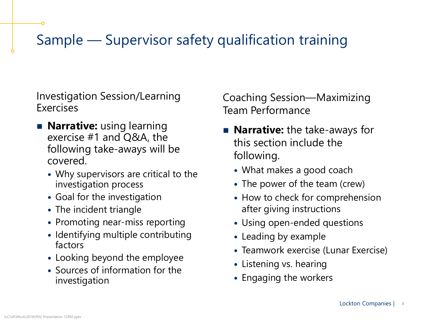Investigation Session/Learning Exercises

- **Narrative:** using learning exercise #1 and Q&A, the following take-aways will be covered.
	- Why supervisors are critical to the investigation process
	- Goal for the investigation
	- The incident triangle
	- Promoting near-miss reporting
	- Identifying multiple contributing factors
	- Looking beyond the employee
	- Sources of information for the investigation

Coaching Session—Maximizing Team Performance

- **Narrative:** the take-aways for this section include the following.
	- What makes a good coach
	- The power of the team (crew)
	- How to check for comprehension after giving instructions
	- Using open-ended questions
	- Leading by example
	- Teamwork exercise (Lunar Exercise)
	- Listening vs. hearing
	- Engaging the workers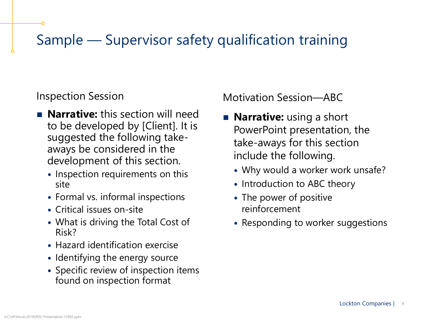Inspection Session

- **Narrative:** this section will need to be developed by [Client]. It is suggested the following takeaways be considered in the development of this section.
	- Inspection requirements on this site
	- Formal vs. informal inspections
	- Critical issues on-site
	- What is driving the Total Cost of Risk?
	- Hazard identification exercise
	- Identifying the energy source
	- Specific review of inspection items found on inspection format

Motivation Session—ABC

- **Narrative:** using a short PowerPoint presentation, the take-aways for this section include the following.
	- Why would a worker work unsafe?
	- Introduction to ABC theory
	- The power of positive reinforcement
	- Responding to worker suggestions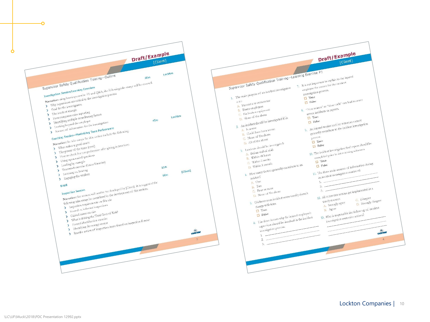

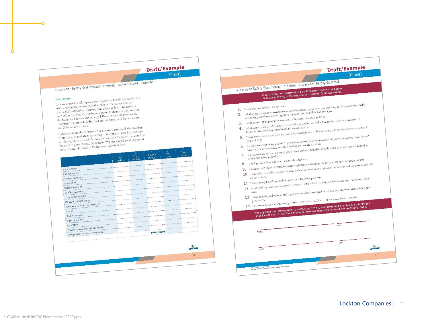#### Draft/Example [Client]

Supervisor Safety Qualification Training-Lunar Survival Exercise

#### Instructions

Instructions<br>You are a member of a space crew originally scheduled to rendezvous<br>You are a member of the lighted surface of the mood to land at a You are a member of a space crew originally schemed to Due to<br>with a mothership on the lighted surface of the moon. Due to<br>with a mothers for which however, your ship was forced to land at You are a member on the lighted surface of the moon. Due to<br>with a mothership on the lighted surface as forced to land at a<br>mechanical difficulties, however, your ship was forced to land at a<br>mechanical difficulties, howev with a mothership on up<br>mechanical difficulties, however, your ship was forced to latted<br>mechanical difficulties, however, your Luning landing, much of<br>spot 200 miles from the rendezvous point. During lappends on<br>spot 200 mechanical difficulties, however, where point. During landing, much of<br>spot 200 miles from the rendezvous point. During landing, much on<br>the equipment aboard was damaged. Because survival depends on<br>the equipment assessing spot 200 miles from un casumaged. Because survival depends on<br>the equipment aboard was damaged. Because survival depends on<br>reaching the modernity, the most critical items much be chosen for the 200-mile trip on foot.

the 200-mile trip on foot.<br>Listed below are the 15 items left intact and undamaged after landing.<br>Listed below are the them according to their importance for your crew. Listed below are the 15 items left intact and undamaged after answers<br>Your task is to rank them according to their importance for your crew<br>Your task is to rank them according to their important<br>to reach the rendezyous poi Listed below are the 15 neuron according to their importance for your task is to rank them according to their importance for your task is to rank the rendezvous point. Write the number 1 by in allowing them to recall the n Your task is to rank them according to the number 1 by<br>in allowing them to reach the rendezvous point. Write the number 1 by<br>the most important them, the number 15, the least important item. the most important item, the number 2 by the second-<br>the most important item, the least important item.

|                                                                         | A<br>My<br>Ranking | 6<br>Team<br>Ranking | c<br>Expert's<br>Ranking  | My<br>Score | Team<br>Score              |
|-------------------------------------------------------------------------|--------------------|----------------------|---------------------------|-------------|----------------------------|
| <b>Box of matches</b>                                                   |                    |                      |                           |             |                            |
| Food concentrate                                                        |                    |                      |                           |             |                            |
| 50 feet of nylon rope                                                   |                    |                      |                           |             |                            |
| Parachute silk                                                          |                    |                      |                           |             |                            |
| Portable heating unit                                                   |                    |                      |                           |             |                            |
| (2) 45-caliber pistols                                                  |                    |                      |                           |             |                            |
| 1 case dehydrated milk                                                  |                    |                      |                           |             |                            |
| (2) 100-lb. tanks of oxygen<br><b><i>UNKINGHISTORICAL CONTINUES</i></b> |                    |                      |                           |             |                            |
| Stellar map (of moon's constellations)                                  |                    |                      |                           |             | ---------------            |
| Life raft                                                               |                    |                      |                           |             |                            |
| Magnetic compass                                                        |                    |                      | ,,,,,,,,,,,,,,,,,,,,,,,,, |             |                            |
| 5 gallons of water                                                      |                    |                      |                           |             |                            |
| <b>COLORADO DE LA PROGRAMA DE LA CALIFICACIÓN DE</b><br>Signal flares   |                    |                      |                           |             | <b>A FEDERAL RESIDENCE</b> |
| First-aid kit containing injection needles                              |                    |                      |                           |             |                            |
| Solar-powered FM receiver-transmitter                                   |                    |                      | <b>TOTAL SCORE</b>        |             |                            |
| expression experience                                                   |                    |                      |                           |             | <b>LOGIC</b>               |
|                                                                         |                    |                      |                           |             | 8                          |
|                                                                         |                    |                      |                           |             |                            |
|                                                                         |                    |                      |                           |             |                            |